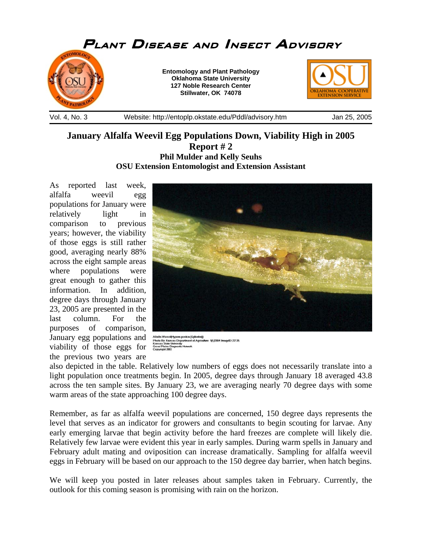

## **January Alfalfa Weevil Egg Populations Down, Viability High in 2005 Report # 2 Phil Mulder and Kelly Seuhs OSU Extension Entomologist and Extension Assistant**

As reported last week, alfalfa weevil egg populations for January were relatively light in comparison to previous years; however, the viability of those eggs is still rather good, averaging nearly 88% across the eight sample areas where populations were great enough to gather this information. In addition, degree days through January 23, 2005 are presented in the last column. For the purposes of comparison, January egg populations and viability of those eggs for the previous two years are



Alfalfa Weevil(Hypera posica (Gyllenhal))<br>Photo By: Kansas Department of Agriculture -9/1/2004 ImagelD: 2213<br>Kansas State University

also depicted in the table. Relatively low numbers of eggs does not necessarily translate into a light population once treatments begin. In 2005, degree days through January 18 averaged 43.8 across the ten sample sites. By January 23, we are averaging nearly 70 degree days with some warm areas of the state approaching 100 degree days.

Remember, as far as alfalfa weevil populations are concerned, 150 degree days represents the level that serves as an indicator for growers and consultants to begin scouting for larvae. Any early emerging larvae that begin activity before the hard freezes are complete will likely die. Relatively few larvae were evident this year in early samples. During warm spells in January and February adult mating and oviposition can increase dramatically. Sampling for alfalfa weevil eggs in February will be based on our approach to the 150 degree day barrier, when hatch begins.

We will keep you posted in later releases about samples taken in February. Currently, the outlook for this coming season is promising with rain on the horizon.